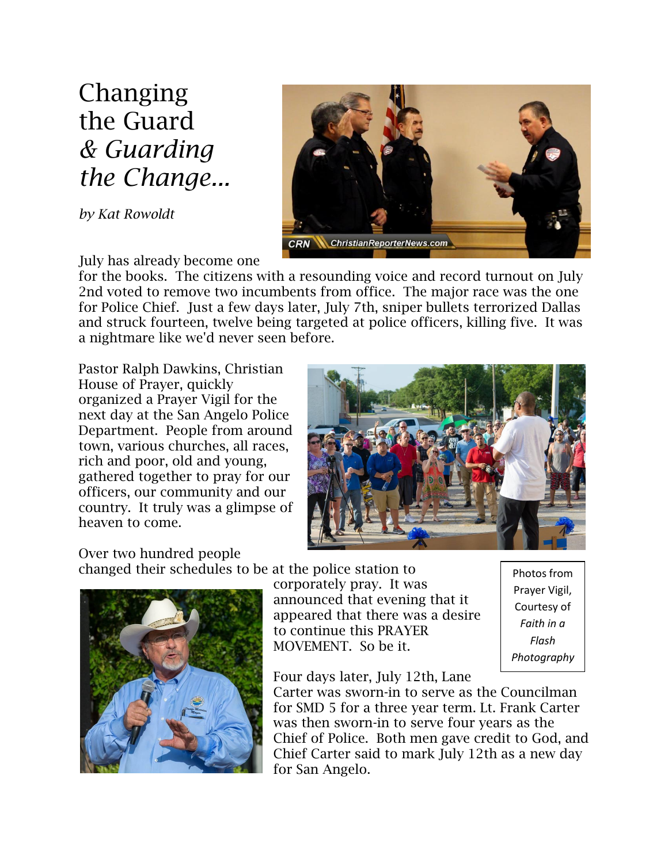Changing the Guard *& Guarding the Change...*

*by Kat Rowoldt*



July has already become one

for the books. The citizens with a resounding voice and record turnout on July 2nd voted to remove two incumbents from office. The major race was the one for Police Chief. Just a few days later, July 7th, sniper bullets terrorized Dallas and struck fourteen, twelve being targeted at police officers, killing five. It was a nightmare like we'd never seen before.

Pastor Ralph Dawkins, Christian House of Prayer, quickly organized a Prayer Vigil for the next day at the San Angelo Police Department. People from around town, various churches, all races, rich and poor, old and young, gathered together to pray for our officers, our community and our country. It truly was a glimpse of heaven to come.



Over two hundred people

changed their schedules to be at the police station to



corporately pray. It was announced that evening that it appeared that there was a desire to continue this PRAYER MOVEMENT. So be it.

Photos from Prayer Vigil, Courtesy of *Faith in a Flash Photography*

Four days later, July 12th, Lane

Carter was sworn-in to serve as the Councilman for SMD 5 for a three year term. Lt. Frank Carter was then sworn-in to serve four years as the Chief of Police. Both men gave credit to God, and Chief Carter said to mark July 12th as a new day for San Angelo.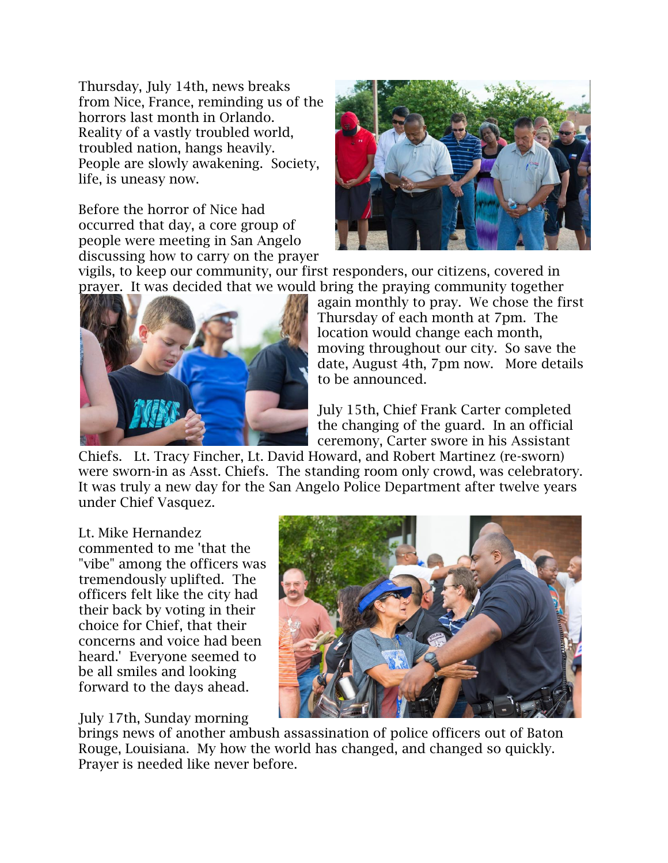Thursday, July 14th, news breaks from Nice, France, reminding us of the horrors last month in Orlando. Reality of a vastly troubled world, troubled nation, hangs heavily. People are slowly awakening. Society, life, is uneasy now.

Before the horror of Nice had occurred that day, a core group of people were meeting in San Angelo discussing how to carry on the prayer



vigils, to keep our community, our first responders, our citizens, covered in prayer. It was decided that we would bring the praying community together



again monthly to pray. We chose the first Thursday of each month [at 7pm.](x-apple-data-detectors://embedded-result/1902) The location would change each month, moving throughout our city. So save the date, [August 4th, 7pm](x-apple-data-detectors://embedded-result/1997) now. More details to be announced.

July 15th, Chief Frank Carter completed the changing of the guard. In an official ceremony, Carter swore in his Assistant

Chiefs. Lt. Tracy Fincher, Lt. David Howard, and Robert Martinez (re-sworn) were sworn-in as Asst. Chiefs. The standing room only crowd, was celebratory. It was truly a new day for the San Angelo Police Department after twelve years under Chief Vasquez.

## Lt. Mike Hernandez

commented to me 'that the "vibe" among the officers was tremendously uplifted. The officers felt like the city had their back by voting in their choice for Chief, that their concerns and voice had been heard.' Everyone seemed to be all smiles and looking forward to the days ahead.

## July 17th, Sunday morning



brings news of another ambush assassination of police officers out of Baton Rouge, Louisiana. My how the world has changed, and changed so quickly. Prayer is needed like never before.